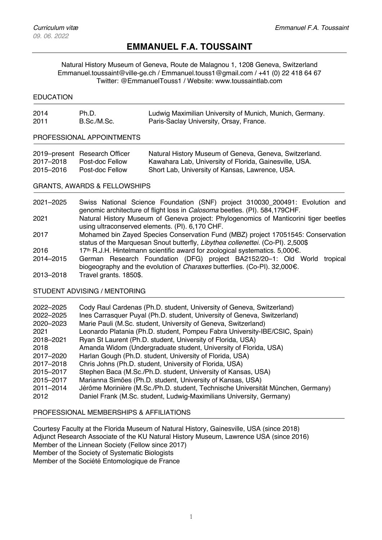ssssdqsssssq

# **EMMANUEL F.A. TOUSSAINT**

Natural History Museum of Geneva, Route de Malagnou 1, 1208 Geneva, Switzerland Emmanuel.toussaint@ville-ge.ch / Emmanuel.touss1@gmail.com / +41 (0) 22 418 64 67 Twitter: @EmmanuelTouss1 / Website: www.toussaintlab.com

### **EDUCATION**

| 2014 | Ph.D.       | Ludwig Maximilian University of Munich, Munich, Germany. |
|------|-------------|----------------------------------------------------------|
| 2011 | B.Sc./M.Sc. | Paris-Saclay University, Orsay, France.                  |

#### PROFESSIONAL APPOINTMENTS

|           | 2019–present Research Officer | Natural History Museum of Geneva, Geneva, Switzerland. |
|-----------|-------------------------------|--------------------------------------------------------|
| 2017–2018 | Post-doc Fellow               | Kawahara Lab, University of Florida, Gainesville, USA. |
| 2015-2016 | Post-doc Fellow               | Short Lab, University of Kansas, Lawrence, USA.        |

## GRANTS, AWARDS & FELLOWSHIPS

| 2021-2025 | Swiss National Science Foundation (SNF) project 310030 200491: Evolution and                |
|-----------|---------------------------------------------------------------------------------------------|
|           | genomic architecture of flight loss in Calosoma beetles. (PI). 584,179CHF.                  |
| 2021      | Natural History Museum of Geneva project: Phylogenomics of Manticorini tiger beetles        |
|           | using ultraconserved elements. (PI). 6,170 CHF.                                             |
| 2017      | Mohamed bin Zayed Species Conservation Fund (MBZ) project 17051545: Conservation            |
|           | status of the Marquesan Snout butterfly, Libythea collenettei. (Co-PI). 2,500\$             |
| 2016      | 17th R.J.H. Hintelmann scientific award for zoological systematics. 5,000 $\epsilon$ .      |
| 2014-2015 | German Research Foundation (DFG) project BA2152/20-1: Old World<br>tropical                 |
|           | biogeography and the evolution of <i>Charaxes</i> butterflies. (Co-PI). 32,000 $\epsilon$ . |
| 2013-2018 | Travel grants. 1850\$.                                                                      |

#### STUDENT ADVISING / MENTORING

| 2022-2025 | Cody Raul Cardenas (Ph.D. student, University of Geneva, Switzerland)           |
|-----------|---------------------------------------------------------------------------------|
| 2022-2025 | Ines Carrasquer Puyal (Ph.D. student, University of Geneva, Switzerland)        |
| 2020-2023 | Marie Pauli (M.Sc. student, University of Geneva, Switzerland)                  |
| 2021      | Leonardo Platania (Ph.D. student, Pompeu Fabra University-IBE/CSIC, Spain)      |
| 2018-2021 | Ryan St Laurent (Ph.D. student, University of Florida, USA)                     |
| 2018      | Amanda Widom (Undergraduate student, University of Florida, USA)                |
| 2017-2020 | Harlan Gough (Ph.D. student, University of Florida, USA)                        |
| 2017-2018 | Chris Johns (Ph.D. student, University of Florida, USA)                         |
| 2015-2017 | Stephen Baca (M.Sc./Ph.D. student, University of Kansas, USA)                   |
| 2015-2017 | Marianna Simões (Ph.D. student, University of Kansas, USA)                      |
| 2011-2014 | Jérôme Morinière (M.Sc./Ph.D. student, Technische Universität München, Germany) |
| 2012      | Daniel Frank (M.Sc. student, Ludwig-Maximilians University, Germany)            |

#### PROFESSIONAL MEMBERSHIPS & AFFILIATIONS

Courtesy Faculty at the Florida Museum of Natural History, Gainesville, USA (since 2018) Adjunct Research Associate of the KU Natural History Museum, Lawrence USA (since 2016) Member of the Linnean Society (Fellow since 2017) Member of the Society of Systematic Biologists Member of the Société Entomologique de France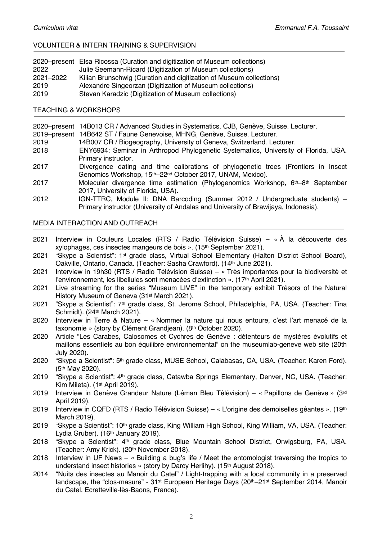## VOLUNTEER & INTERN TRAINING & SUPERVISION

|           | 2020–present Elsa Ricossa (Curation and digitization of Museum collections) |
|-----------|-----------------------------------------------------------------------------|
| 2022      | Julie Seemann-Ricard (Digitization of Museum collections)                   |
| 2021-2022 | Kilian Brunschwig (Curation and digitization of Museum collections)         |
| 2019      | Alexandre Singeorzan (Digitization of Museum collections)                   |
| 2019      | Stevan Karadzic (Digitization of Museum collections)                        |

#### TEACHING & WORKSHOPS

2020–present 14B013 CR / Advanced Studies in Systematics, CJB, Genève, Suisse. Lecturer.

2019–present 14B642 ST / Faune Genevoise, MHNG, Genève, Suisse. Lecturer.

- 2019 14B007 CR / Biogeography, University of Geneva, Switzerland. Lecturer.
- 2018 ENY6934: Seminar in Arthropod Phylogenetic Systematics, University of Florida, USA. Primary instructor.
- 2017 Divergence dating and time calibrations of phylogenetic trees (Frontiers in Insect Genomics Workshop, 15th–22nd October 2017, UNAM, Mexico).
- 2017 Molecular divergence time estimation (Phylogenomics Workshop, 6th–8th September 2017, University of Florida, USA).
- 2012 IGN-TTRC, Module II: DNA Barcoding (Summer 2012 / Undergraduate students) Primary instructor (University of Andalas and University of Brawijaya, Indonesia).

#### MEDIA INTERACTION AND OUTREACH

- 2021 Interview in Couleurs Locales (RTS / Radio Télévision Suisse) « À la découverte des xylophages, ces insectes mangeurs de bois ». (15th September 2021).
- 2021 "Skype a Scientist": 1st grade class, Virtual School Elementary (Halton District School Board), Oakville, Ontario, Canada. (Teacher: Sasha Crawford). (14th June 2021).
- 2021 Interview in 19h30 (RTS / Radio Télévision Suisse) « Très importantes pour la biodiversité et l'environnement, les libellules sont menacées d'extinction ». (17th April 2021).
- 2021 Live streaming for the series "Museum LIVE" in the temporary exhibit Trésors of the Natural History Museum of Geneva (31st March 2021).
- 2021 "Skype a Scientist": 7th grade class, St. Jerome School, Philadelphia, PA, USA. (Teacher: Tina Schmidt). (24th March 2021).
- 2020 Interview in Terre & Nature « Nommer la nature qui nous entoure, c'est l'art menacé de la taxonomie » (story by Clément Grandjean). (8th October 2020).
- 2020 Article "Les Carabes, Calosomes et Cychres de Genève : détenteurs de mystères évolutifs et maillons essentiels au bon équilibre environnemental" on the museumlab-geneve web site (20th July 2020).
- 2020 "Skype a Scientist": 5th grade class, MUSE School, Calabasas, CA, USA. (Teacher: Karen Ford). (5th May 2020).
- 2019 "Skype a Scientist": 4th grade class, Catawba Springs Elementary, Denver, NC, USA. (Teacher: Kim Mileta). (1st April 2019).
- 2019 Interview in Genève Grandeur Nature (Léman Bleu Télévision) « Papillons de Genève » (3rd April 2019).
- 2019 Interview in CQFD (RTS / Radio Télévision Suisse) « L'origine des demoiselles géantes ». (19th March 2019).
- 2019 "Skype a Scientist": 10th grade class, King William High School, King William, VA, USA. (Teacher: Lydia Gruber). (16<sup>th</sup> January 2019).
- 2018 "Skype a Scientist": 4<sup>th</sup> grade class, Blue Mountain School District, Orwigsburg, PA, USA. (Teacher: Amy Krick). (20th November 2018).
- 2018 Interview in UF News « Building a bug's life / Meet the entomologist traversing the tropics to understand insect histories » (story by Darcy Herlihy). (15<sup>th</sup> August 2018).
- 2014 "Nuits des insectes au Manoir du Catel" / Light-trapping with a local community in a preserved landscape, the "clos-masure" - 31st European Heritage Days (20th–21st September 2014, Manoir du Catel, Ecretteville-lès-Baons, France).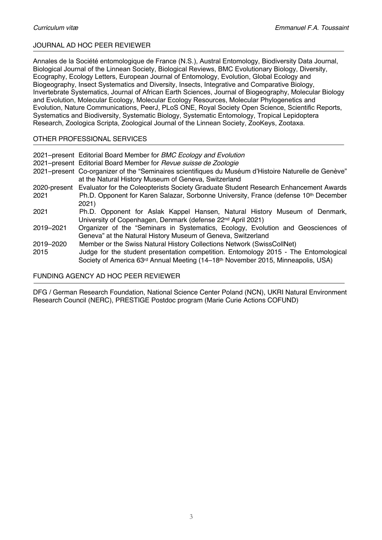# JOURNAL AD HOC PEER REVIEWER

Annales de la Société entomologique de France (N.S.), Austral Entomology, Biodiversity Data Journal, Biological Journal of the Linnean Society, Biological Reviews, BMC Evolutionary Biology, Diversity, Ecography, Ecology Letters, European Journal of Entomology, Evolution, Global Ecology and Biogeography, Insect Systematics and Diversity, Insects, Integrative and Comparative Biology, Invertebrate Systematics, Journal of African Earth Sciences, Journal of Biogeography, Molecular Biology and Evolution, Molecular Ecology, Molecular Ecology Resources, Molecular Phylogenetics and Evolution, Nature Communications, PeerJ, PLoS ONE, Royal Society Open Science, Scientific Reports, Systematics and Biodiversity, Systematic Biology, Systematic Entomology, Tropical Lepidoptera Research, Zoologica Scripta, Zoological Journal of the Linnean Society, ZooKeys, Zootaxa.

# OTHER PROFESSIONAL SERVICES

|                   | 2021–present Editorial Board Member for BMC Ecology and Evolution                                                                                                                                                                                                         |
|-------------------|---------------------------------------------------------------------------------------------------------------------------------------------------------------------------------------------------------------------------------------------------------------------------|
|                   | 2021–present Editorial Board Member for Revue suisse de Zoologie                                                                                                                                                                                                          |
|                   | 2021–present Co-organizer of the "Seminaires scientifiques du Muséum d'Histoire Naturelle de Genève"                                                                                                                                                                      |
|                   | at the Natural History Museum of Geneva, Switzerland                                                                                                                                                                                                                      |
| 2020-present      | Evaluator for the Coleopterists Society Graduate Student Research Enhancement Awards                                                                                                                                                                                      |
| 2021              | Ph.D. Opponent for Karen Salazar, Sorbonne University, France (defense 10th December                                                                                                                                                                                      |
|                   | 2021)                                                                                                                                                                                                                                                                     |
| 2021              | Ph.D. Opponent for Aslak Kappel Hansen, Natural History Museum of Denmark,<br>University of Copenhagen, Denmark (defense 22 <sup>nd</sup> April 2021)                                                                                                                     |
| 2019-2021         | Organizer of the "Seminars in Systematics, Ecology, Evolution and Geosciences of<br>Geneva" at the Natural History Museum of Geneva, Switzerland                                                                                                                          |
| 2019-2020<br>2015 | Member or the Swiss Natural History Collections Network (SwissCollNet)<br>Judge for the student presentation competition. Entomology 2015 - The Entomological<br>Society of America 63 <sup>rd</sup> Annual Meeting (14–18 <sup>th</sup> November 2015, Minneapolis, USA) |

#### FUNDING AGENCY AD HOC PEER REVIEWER

DFG / German Research Foundation, National Science Center Poland (NCN), UKRI Natural Environment Research Council (NERC), PRESTIGE Postdoc program (Marie Curie Actions COFUND)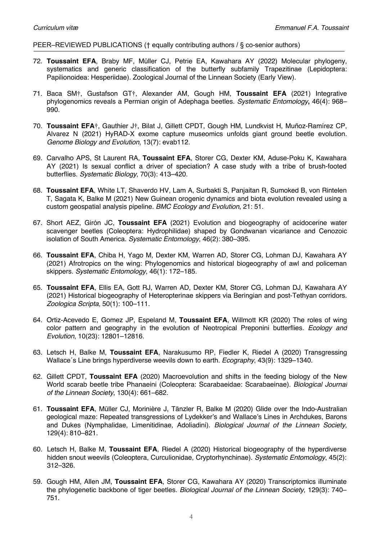#### PEER–REVIEWED PUBLICATIONS († equally contributing authors / § co-senior authors)

- 72. **Toussaint EFA**, Braby MF, Müller CJ, Petrie EA, Kawahara AY (2022) Molecular phylogeny, systematics and generic classification of the butterfly subfamily Trapezitinae (Lepidoptera: Papilionoidea: Hesperiidae). Zoological Journal of the Linnean Society (Early View).
- 71. Baca SM†, Gustafson GT†, Alexander AM, Gough HM, **Toussaint EFA** (2021) Integrative phylogenomics reveals a Permian origin of Adephaga beetles. *Systematic Entomology***,** 46(4): 968– 990.
- 70. **Toussaint EFA**†, Gauthier J†, Bilat J, Gillett CPDT, Gough HM, Lundkvist H, Muñoz-Ramírez CP, Alvarez N (2021) HyRAD-X exome capture museomics unfolds giant ground beetle evolution. *Genome Biology and Evolution*, 13(7): evab112.
- 69. Carvalho APS, St Laurent RA, **Toussaint EFA**, Storer CG, Dexter KM, Aduse-Poku K, Kawahara AY (2021) Is sexual conflict a driver of speciation? A case study with a tribe of brush-footed butterflies. *Systematic Biology*, 70(3): 413–420.
- 68. **Toussaint EFA**, White LT, Shaverdo HV, Lam A, Surbakti S, Panjaitan R, Sumoked B, von Rintelen T, Sagata K, Balke M (2021) New Guinean orogenic dynamics and biota evolution revealed using a custom geospatial analysis pipeline. *BMC Ecology and Evolution*, 21: 51.
- 67. Short AEZ, Girón JC, **Toussaint EFA** (2021) Evolution and biogeography of acidocerine water scavenger beetles (Coleoptera: Hydrophilidae) shaped by Gondwanan vicariance and Cenozoic isolation of South America. *Systematic Entomology*, 46(2): 380–395.
- 66. **Toussaint EFA**, Chiba H, Yago M, Dexter KM, Warren AD, Storer CG, Lohman DJ, Kawahara AY (2021) Afrotropics on the wing: Phylogenomics and historical biogeography of awl and policeman skippers. *Systematic Entomology*, 46(1): 172–185.
- 65. **Toussaint EFA**, Ellis EA, Gott RJ, Warren AD, Dexter KM, Storer CG, Lohman DJ, Kawahara AY (2021) Historical biogeography of Heteropterinae skippers via Beringian and post-Tethyan corridors. *Zoologica Scripta*, 50(1): 100–111.
- 64. Ortiz-Acevedo E, Gomez JP, Espeland M, **Toussaint EFA**, Willmott KR (2020) The roles of wing color pattern and geography in the evolution of Neotropical Preponini butterflies. *Ecology and Evolution*, 10(23): 12801–12816.
- 63. Letsch H, Balke M, **Toussaint EFA**, Narakusumo RP, Fiedler K, Riedel A (2020) Transgressing Wallace´s Line brings hyperdiverse weevils down to earth. *Ecography*, 43(9): 1329–1340.
- 62. Gillett CPDT, **Toussaint EFA** (2020) Macroevolution and shifts in the feeding biology of the New World scarab beetle tribe Phanaeini (Coleoptera: Scarabaeidae: Scarabaeinae). *Biological Journal of the Linnean Society*, 130(4): 661–682.
- 61. **Toussaint EFA**, Müller CJ, Morinière J, Tänzler R, Balke M (2020) Glide over the Indo-Australian geological maze: Repeated transgressions of Lydekker's and Wallace's Lines in Archdukes, Barons and Dukes (Nymphalidae, Limenitidinae, Adoliadini). *Biological Journal of the Linnean Society*, 129(4): 810–821.
- 60. Letsch H, Balke M, **Toussaint EFA**, Riedel A (2020) Historical biogeography of the hyperdiverse hidden snout weevils (Coleoptera, Curculionidae, Cryptorhynchinae). *Systematic Entomology*, 45(2): 312–326.
- 59. Gough HM, Allen JM, **Toussaint EFA**, Storer CG, Kawahara AY (2020) Transcriptomics illuminate the phylogenetic backbone of tiger beetles. *Biological Journal of the Linnean Society,* 129(3): 740– 751.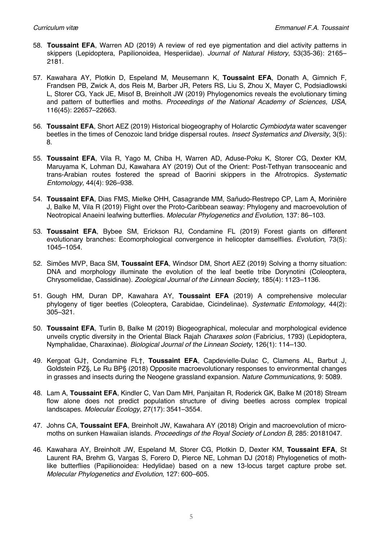- 58. **Toussaint EFA**, Warren AD (2019) A review of red eye pigmentation and diel activity patterns in skippers (Lepidoptera, Papilionoidea, Hesperiidae). *Journal of Natural History*, 53(35-36): 2165– 2181.
- 57. Kawahara AY, Plotkin D, Espeland M, Meusemann K, **Toussaint EFA**, Donath A, Gimnich F, Frandsen PB, Zwick A, dos Reis M, Barber JR, Peters RS, Liu S, Zhou X, Mayer C, Podsiadlowski L, Storer CG, Yack JE, Misof B, Breinholt JW (2019) Phylogenomics reveals the evolutionary timing and pattern of butterflies and moths. *Proceedings of the National Academy of Sciences, USA*, 116(45): 22657–22663.
- 56. **Toussaint EFA**, Short AEZ (2019) Historical biogeography of Holarctic *Cymbiodyta* water scavenger beetles in the times of Cenozoic land bridge dispersal routes. *Insect Systematics and Diversity*, 3(5): 8.
- 55. **Toussaint EFA**, Vila R, Yago M, Chiba H, Warren AD, Aduse-Poku K, Storer CG, Dexter KM, Maruyama K, Lohman DJ, Kawahara AY (2019) Out of the Orient: Post-Tethyan transoceanic and trans-Arabian routes fostered the spread of Baorini skippers in the Afrotropics. *Systematic Entomology*, 44(4): 926–938.
- 54. **Toussaint EFA**, Dias FMS, Mielke OHH, Casagrande MM, Sañudo-Restrepo CP, Lam A, Morinière J, Balke M, Vila R (2019) Flight over the Proto-Caribbean seaway: Phylogeny and macroevolution of Neotropical Anaeini leafwing butterflies. *Molecular Phylogenetics and Evolution*, 137: 86–103.
- 53. **Toussaint EFA**, Bybee SM, Erickson RJ, Condamine FL (2019) Forest giants on different evolutionary branches: Ecomorphological convergence in helicopter damselflies. *Evolution*, 73(5): 1045–1054.
- 52. Simões MVP, Baca SM, **Toussaint EFA**, Windsor DM, Short AEZ (2019) Solving a thorny situation: DNA and morphology illuminate the evolution of the leaf beetle tribe Dorynotini (Coleoptera, Chrysomelidae, Cassidinae). *Zoological Journal of the Linnean Society*, 185(4): 1123–1136.
- 51. Gough HM, Duran DP, Kawahara AY, **Toussaint EFA** (2019) A comprehensive molecular phylogeny of tiger beetles (Coleoptera, Carabidae, Cicindelinae). *Systematic Entomology*, 44(2): 305–321.
- 50. **Toussaint EFA**, Turlin B, Balke M (2019) Biogeographical, molecular and morphological evidence unveils cryptic diversity in the Oriental Black Rajah *Charaxes solon* (Fabricius, 1793) (Lepidoptera, Nymphalidae, Charaxinae). *Biological Journal of the Linnean Society*, 126(1): 114–130.
- 49. Kergoat GJ†, Condamine FL†, **Toussaint EFA**, Capdevielle-Dulac C, Clamens AL, Barbut J, Goldstein PZ§, Le Ru BP§ (2018) Opposite macroevolutionary responses to environmental changes in grasses and insects during the Neogene grassland expansion. *Nature Communications*, 9: 5089.
- 48. Lam A, **Toussaint EFA**, Kindler C, Van Dam MH, Panjaitan R, Roderick GK, Balke M (2018) Stream flow alone does not predict population structure of diving beetles across complex tropical landscapes. *Molecular Ecology*, 27(17): 3541–3554.
- 47. Johns CA, **Toussaint EFA**, Breinholt JW, Kawahara AY (2018) Origin and macroevolution of micromoths on sunken Hawaiian islands. *Proceedings of the Royal Society of London B*, 285: 20181047.
- 46. Kawahara AY, Breinholt JW, Espeland M, Storer CG, Plotkin D, Dexter KM, **Toussaint EFA**, St Laurent RA, Brehm G, Vargas S, Forero D, Pierce NE, Lohman DJ (2018) Phylogenetics of mothlike butterflies (Papilionoidea: Hedylidae) based on a new 13-locus target capture probe set. *Molecular Phylogenetics and Evolution*, 127: 600–605.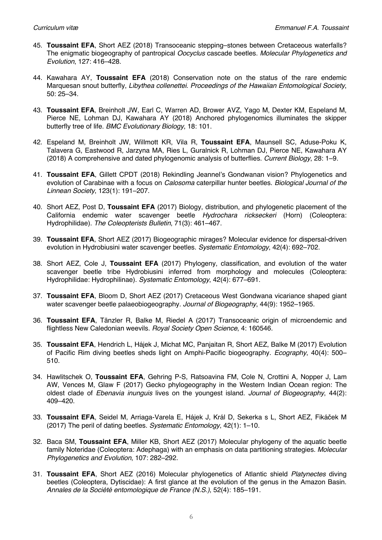- 45. **Toussaint EFA**, Short AEZ (2018) Transoceanic stepping–stones between Cretaceous waterfalls? The enigmatic biogeography of pantropical *Oocyclus* cascade beetles. *Molecular Phylogenetics and Evolution*, 127: 416–428.
- 44. Kawahara AY, **Toussaint EFA** (2018) Conservation note on the status of the rare endemic Marquesan snout butterfly, *Libythea collenettei*. *Proceedings of the Hawaiian Entomological Society*, 50: 25–34.
- 43. **Toussaint EFA**, Breinholt JW, Earl C, Warren AD, Brower AVZ, Yago M, Dexter KM, Espeland M, Pierce NE, Lohman DJ, Kawahara AY (2018) Anchored phylogenomics illuminates the skipper butterfly tree of life. *BMC Evolutionary Biology*, 18: 101.
- 42. Espeland M, Breinholt JW, Willmott KR, Vila R, **Toussaint EFA**, Maunsell SC, Aduse-Poku K, Talavera G, Eastwood R, Jarzyna MA, Ries L, Guralnick R, Lohman DJ, Pierce NE, Kawahara AY (2018) A comprehensive and dated phylogenomic analysis of butterflies. *Current Biology*, 28: 1–9.
- 41. **Toussaint EFA**, Gillett CPDT (2018) Rekindling Jeannel's Gondwanan vision? Phylogenetics and evolution of Carabinae with a focus on *Calosoma* caterpillar hunter beetles. *Biological Journal of the Linnean Society*, 123(1): 191–207.
- 40. Short AEZ, Post D, **Toussaint EFA** (2017) Biology, distribution, and phylogenetic placement of the California endemic water scavenger beetle *Hydrochara rickseckeri* (Horn) (Coleoptera: Hydrophilidae). *The Coleopterists Bulletin*, 71(3): 461–467.
- 39. **Toussaint EFA**, Short AEZ (2017) Biogeographic mirages? Molecular evidence for dispersal-driven evolution in Hydrobiusini water scavenger beetles. *Systematic Entomology*, 42(4): 692–702.
- 38. Short AEZ, Cole J, **Toussaint EFA** (2017) Phylogeny, classification, and evolution of the water scavenger beetle tribe Hydrobiusini inferred from morphology and molecules (Coleoptera: Hydrophilidae: Hydrophilinae). *Systematic Entomology*, 42(4): 677–691.
- 37. **Toussaint EFA**, Bloom D, Short AEZ (2017) Cretaceous West Gondwana vicariance shaped giant water scavenger beetle palaeobiogeography. *Journal of Biogeography*, 44(9): 1952–1965.
- 36. **Toussaint EFA**, Tänzler R, Balke M, Riedel A (2017) Transoceanic origin of microendemic and flightless New Caledonian weevils. *Royal Society Open Science*, 4: 160546.
- 35. **Toussaint EFA**, Hendrich L, Hájek J, Michat MC, Panjaitan R, Short AEZ, Balke M (2017) Evolution of Pacific Rim diving beetles sheds light on Amphi-Pacific biogeography. *Ecography*, 40(4): 500– 510.
- 34. Hawlitschek O, **Toussaint EFA**, Gehring P-S, Ratsoavina FM, Cole N, Crottini A, Nopper J, Lam AW, Vences M, Glaw F (2017) Gecko phylogeography in the Western Indian Ocean region: The oldest clade of *Ebenavia inunguis* lives on the youngest island. *Journal of Biogeography*, 44(2): 409–420.
- 33. **Toussaint EFA**, Seidel M, Arriaga-Varela E, Hájek J, Král D, Sekerka s L, Short AEZ, Fikáček M (2017) The peril of dating beetles. *Systematic Entomology*, 42(1): 1–10.
- 32. Baca SM, **Toussaint EFA**, Miller KB, Short AEZ (2017) Molecular phylogeny of the aquatic beetle family Noteridae (Coleoptera: Adephaga) with an emphasis on data partitioning strategies. *Molecular Phylogenetics and Evolution*, 107: 282–292.
- 31. **Toussaint EFA**, Short AEZ (2016) Molecular phylogenetics of Atlantic shield *Platynectes* diving beetles (Coleoptera, Dytiscidae): A first glance at the evolution of the genus in the Amazon Basin. *Annales de la Société entomologique de France (N.S.)*, 52(4): 185–191.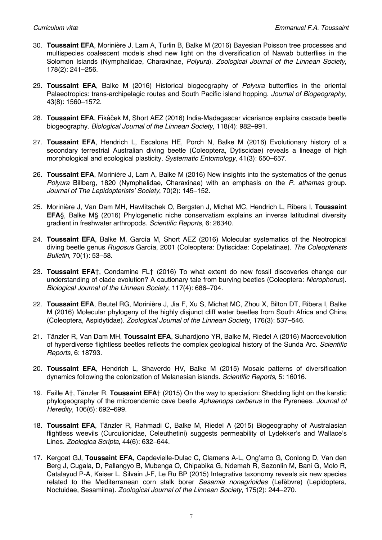- 30. **Toussaint EFA**, Morinière J, Lam A, Turlin B, Balke M (2016) Bayesian Poisson tree processes and multispecies coalescent models shed new light on the diversification of Nawab butterflies in the Solomon Islands (Nymphalidae, Charaxinae, *Polyura*). *Zoological Journal of the Linnean Society*, 178(2): 241–256.
- 29. **Toussaint EFA**, Balke M (2016) Historical biogeography of *Polyura* butterflies in the oriental Palaeotropics: trans-archipelagic routes and South Pacific island hopping. *Journal of Biogeography,* 43(8): 1560–1572.
- 28. **Toussaint EFA**, Fikáček M, Short AEZ (2016) India-Madagascar vicariance explains cascade beetle biogeography. *Biological Journal of the Linnean Society*, 118(4): 982–991.
- 27. **Toussaint EFA**, Hendrich L, Escalona HE, Porch N, Balke M (2016) Evolutionary history of a secondary terrestrial Australian diving beetle (Coleoptera, Dytiscidae) reveals a lineage of high morphological and ecological plasticity. *Systematic Entomology*, 41(3): 650–657.
- 26. **Toussaint EFA**, Morinière J, Lam A, Balke M (2016) New insights into the systematics of the genus *Polyura* Billberg, 1820 (Nymphalidae, Charaxinae) with an emphasis on the *P. athamas* group. *Journal of The Lepidopterists' Society*, 70(2): 145–152.
- 25. Morinière J, Van Dam MH, Hawlitschek O, Bergsten J, Michat MC, Hendrich L, Ribera I, **Toussaint EFA**§, Balke M§ (2016) Phylogenetic niche conservatism explains an inverse latitudinal diversity gradient in freshwater arthropods. *Scientific Reports*, 6: 26340.
- 24. **Toussaint EFA**, Balke M, García M, Short AEZ (2016) Molecular systematics of the Neotropical diving beetle genus *Rugosus* García, 2001 (Coleoptera: Dytiscidae: Copelatinae). *The Coleopterists Bulletin*, 70(1): 53–58.
- 23. **Toussaint EFA**†, Condamine FL† (2016) To what extent do new fossil discoveries change our understanding of clade evolution? A cautionary tale from burying beetles (Coleoptera: *Nicrophorus*). *Biological Journal of the Linnean Society*, 117(4): 686–704.
- 22. **Toussaint EFA**, Beutel RG, Morinière J, Jia F, Xu S, Michat MC, Zhou X, Bilton DT, Ribera I, Balke M (2016) Molecular phylogeny of the highly disjunct cliff water beetles from South Africa and China (Coleoptera, Aspidytidae). *Zoological Journal of the Linnean Society*, 176(3): 537–546*.*
- 21. Tänzler R, Van Dam MH, **Toussaint EFA**, Suhardjono YR, Balke M, Riedel A (2016) Macroevolution of hyperdiverse flightless beetles reflects the complex geological history of the Sunda Arc. *Scientific Reports*, 6: 18793.
- 20. **Toussaint EFA**, Hendrich L, Shaverdo HV, Balke M (2015) Mosaic patterns of diversification dynamics following the colonization of Melanesian islands. *Scientific Reports*, 5: 16016*.*
- 19. Faille A†, Tänzler R, **Toussaint EFA**† (2015) On the way to speciation: Shedding light on the karstic phylogeography of the microendemic cave beetle *Aphaenops cerberus* in the Pyrenees. *Journal of Heredity*, 106(6): 692–699.
- 18. **Toussaint EFA**, Tänzler R, Rahmadi C, Balke M, Riedel A (2015) Biogeography of Australasian flightless weevils (Curculionidae, Celeuthetini) suggests permeability of Lydekker's and Wallace's Lines. *Zoologica Scripta*, 44(6): 632–644.
- 17. Kergoat GJ, **Toussaint EFA**, Capdevielle-Dulac C, Clamens A-L, Ong'amo G, Conlong D, Van den Berg J, Cugala, D, Pallangyo B, Mubenga O, Chipabika G, Ndemah R, Sezonlin M, Bani G, Molo R, Catalayud P-A, Kaiser L, Silvain J-F, Le Ru BP (2015) Integrative taxonomy reveals six new species related to the Mediterranean corn stalk borer *Sesamia nonagrioides* (Lefèbvre) (Lepidoptera, Noctuidae, Sesamiina). *Zoological Journal of the Linnean Society*, 175(2): 244–270*.*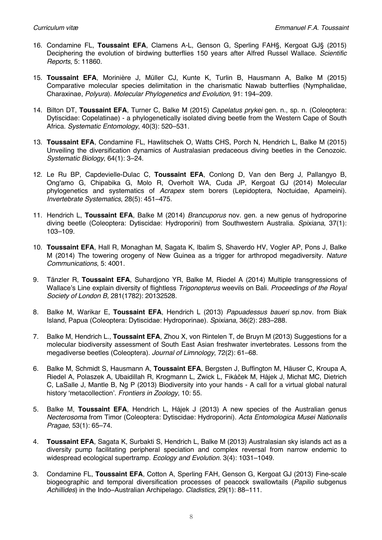- 16. Condamine FL, **Toussaint EFA**, Clamens A-L, Genson G, Sperling FAH§, Kergoat GJ§ (2015) Deciphering the evolution of birdwing butterflies 150 years after Alfred Russel Wallace. *Scientific Reports*, 5: 11860.
- 15. **Toussaint EFA**, Morinière J, Müller CJ, Kunte K, Turlin B, Hausmann A, Balke M (2015) Comparative molecular species delimitation in the charismatic Nawab butterflies (Nymphalidae, Charaxinae, *Polyura*). *Molecular Phylogenetics and Evolution*, 91: 194–209.
- 14. Bilton DT, **Toussaint EFA**, Turner C, Balke M (2015) *Capelatus prykei* gen. n., sp. n. (Coleoptera: Dytiscidae: Copelatinae) - a phylogenetically isolated diving beetle from the Western Cape of South Africa. *Systematic Entomology*, 40(3): 520–531*.*
- 13. **Toussaint EFA**, Condamine FL, Hawlitschek O, Watts CHS, Porch N, Hendrich L, Balke M (2015) Unveiling the diversification dynamics of Australasian predaceous diving beetles in the Cenozoic. *Systematic Biology*, 64(1): 3–24.
- 12. Le Ru BP, Capdevielle-Dulac C, **Toussaint EFA**, Conlong D, Van den Berg J, Pallangyo B, Ong'amo G, Chipabika G, Molo R, Overholt WA, Cuda JP, Kergoat GJ (2014) Molecular phylogenetics and systematics of *Acrapex* stem borers (Lepidoptera, Noctuidae, Apameini). *Invertebrate Systematics*, 28(5): 451–475.
- 11. Hendrich L, **Toussaint EFA**, Balke M (2014) *Brancuporus* nov. gen. a new genus of hydroporine diving beetle (Coleoptera: Dytiscidae: Hydroporini) from Southwestern Australia. *Spixiana*, 37(1): 103–109.
- 10. **Toussaint EFA**, Hall R, Monaghan M, Sagata K, Ibalim S, Shaverdo HV, Vogler AP, Pons J, Balke M (2014) The towering orogeny of New Guinea as a trigger for arthropod megadiversity. *Nature Communications*, 5: 4001.
- 9. Tänzler R, **Toussaint EFA**, Suhardjono YR, Balke M, Riedel A (2014) Multiple transgressions of Wallace's Line explain diversity of flightless *Trigonopterus* weevils on Bali. *Proceedings of the Royal Society of London B,* 281(1782): 20132528.
- 8. Balke M, Warikar E, **Toussaint EFA**, Hendrich L (2013) *Papuadessus baueri* sp.nov. from Biak Island, Papua (Coleoptera: Dytiscidae: Hydroporinae). *Spixiana*, 36(2): 283–288.
- 7. Balke M, Hendrich L., **Toussaint EFA**, Zhou X, von Rintelen T, de Bruyn M (2013) Suggestions for a molecular biodiversity assessment of South East Asian freshwater invertebrates. Lessons from the megadiverse beetles (Coleoptera). *Journal of Limnology*, 72(2): 61–68.
- 6. Balke M, Schmidt S, Hausmann A, **Toussaint EFA**, Bergsten J, Buffington M, Häuser C, Kroupa A, Riedel A, Polaszek A, Ubaidillah R, Krogmann L, Zwick L, Fikáček M, Hájek J, Michat MC, Dietrich C, LaSalle J, Mantle B, Ng P (2013) Biodiversity into your hands - A call for a virtual global natural history 'metacollection'. *Frontiers in Zoology*, 10: 55.
- 5. Balke M, **Toussaint EFA**, Hendrich L, Hájek J (2013) A new species of the Australian genus *Necterosoma* from Timor (Coleoptera: Dytiscidae: Hydroporini). *Acta Entomologica Musei Nationalis Pragae*, 53(1): 65–74.
- 4. **Toussaint EFA**, Sagata K, Surbakti S, Hendrich L, Balke M (2013) Australasian sky islands act as a diversity pump facilitating peripheral speciation and complex reversal from narrow endemic to widespread ecological supertramp. *Ecology and Evolution.* 3(4): 1031–1049.
- 3. Condamine FL, **Toussaint EFA**, Cotton A, Sperling FAH, Genson G, Kergoat GJ (2013) Fine-scale biogeographic and temporal diversification processes of peacock swallowtails (*Papilio* subgenus *Achillides*) in the Indo–Australian Archipelago. *Cladistics,* 29(1): 88–111.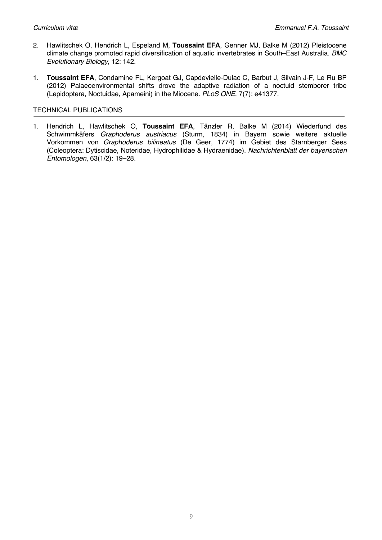- 2. Hawlitschek O, Hendrich L, Espeland M, **Toussaint EFA**, Genner MJ, Balke M (2012) Pleistocene climate change promoted rapid diversification of aquatic invertebrates in South–East Australia. *BMC Evolutionary Biology*, 12: 142.
- 1. **Toussaint EFA**, Condamine FL, Kergoat GJ, Capdevielle-Dulac C, Barbut J, Silvain J-F, Le Ru BP (2012) Palaeoenvironmental shifts drove the adaptive radiation of a noctuid stemborer tribe (Lepidoptera, Noctuidae, Apameini) in the Miocene. *PLoS ONE*, 7(7): e41377*.*

# TECHNICAL PUBLICATIONS

1. Hendrich L, Hawlitschek O, **Toussaint EFA**, Tänzler R, Balke M (2014) Wiederfund des Schwimmkäfers *Graphoderus austriacus* (Sturm, 1834) in Bayern sowie weitere aktuelle Vorkommen von *Graphoderus bilineatus* (De Geer, 1774) im Gebiet des Starnberger Sees (Coleoptera: Dytiscidae, Noteridae, Hydrophilidae & Hydraenidae). *Nachrichtenblatt der bayerischen Entomologen*, 63(1/2): 19–28.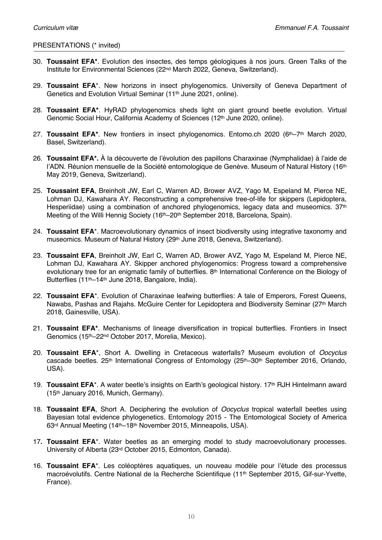## PRESENTATIONS (\* invited)

- 30. **Toussaint EFA\***. Evolution des insectes, des temps géologiques à nos jours. Green Talks of the Institute for Environmental Sciences (22nd March 2022, Geneva, Switzerland).
- 29. **Toussaint EFA**\*. New horizons in insect phylogenomics. University of Geneva Department of Genetics and Evolution Virtual Seminar (11th June 2021, online).
- 28. **Toussaint EFA\***. HyRAD phylogenomics sheds light on giant ground beetle evolution. Virtual Genomic Social Hour, California Academy of Sciences (12<sup>th</sup> June 2020, online).
- 27. **Toussaint EFA\***. New frontiers in insect phylogenomics. Entomo.ch 2020 (6th–7th March 2020, Basel, Switzerland).
- 26. **Toussaint EFA\*.** À la découverte de l'évolution des papillons Charaxinae (Nymphalidae) à l'aide de l'ADN. Réunion mensuelle de la Société entomologique de Genève. Museum of Natural History (16<sup>th</sup>) May 2019, Geneva, Switzerland).
- 25. **Toussaint EFA**, Breinholt JW, Earl C, Warren AD, Brower AVZ, Yago M, Espeland M, Pierce NE, Lohman DJ, Kawahara AY. Reconstructing a comprehensive tree-of-life for skippers (Lepidoptera, Hesperiidae) using a combination of anchored phylogenomics, legacy data and museomics. 37<sup>th</sup> Meeting of the Willi Hennig Society (16<sup>th</sup>–20<sup>th</sup> September 2018, Barcelona, Spain).
- 24. **Toussaint EFA**\*. Macroevolutionary dynamics of insect biodiversity using integrative taxonomy and museomics. Museum of Natural History (29<sup>th</sup> June 2018, Geneva, Switzerland).
- 23. **Toussaint EFA**, Breinholt JW, Earl C, Warren AD, Brower AVZ, Yago M, Espeland M, Pierce NE, Lohman DJ, Kawahara AY. Skipper anchored phylogenomics: Progress toward a comprehensive evolutionary tree for an enigmatic family of butterflies. 8th International Conference on the Biology of Butterflies (11th–14th June 2018, Bangalore, India).
- 22. **Toussaint EFA**\*. Evolution of Charaxinae leafwing butterflies: A tale of Emperors, Forest Queens, Nawabs, Pashas and Rajahs. McGuire Center for Lepidoptera and Biodiversity Seminar (27th March 2018, Gainesville, USA).
- 21. **Toussaint EFA\***. Mechanisms of lineage diversification in tropical butterflies. Frontiers in Insect Genomics (15th–22nd October 2017, Morelia, Mexico).
- 20. **Toussaint EFA**\*, Short A. Dwelling in Cretaceous waterfalls? Museum evolution of *Oocyclus* cascade beetles. 25<sup>th</sup> International Congress of Entomology (25<sup>th</sup>–30<sup>th</sup> September 2016, Orlando, USA).
- 19. **Toussaint EFA**\*. A water beetle's insights on Earth's geological history. 17th RJH Hintelmann award (15th January 2016, Munich, Germany).
- 18. **Toussaint EFA**, Short A. Deciphering the evolution of *Oocyclus* tropical waterfall beetles using Bayesian total evidence phylogenetics. Entomology 2015 - The Entomological Society of America 63rd Annual Meeting (14th–18th November 2015, Minneapolis, USA).
- 17**. Toussaint EFA**\*. Water beetles as an emerging model to study macroevolutionary processes. University of Alberta (23rd October 2015, Edmonton, Canada).
- 16. **Toussaint EFA**\*. Les coléoptères aquatiques, un nouveau modèle pour l'étude des processus macroévolutifs. Centre National de la Recherche Scientifique (11th September 2015, Gif-sur-Yvette, France).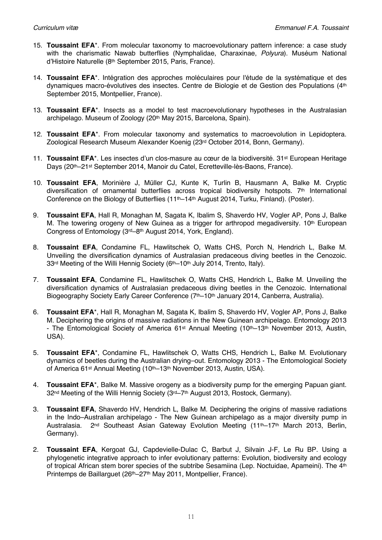- 15. **Toussaint EFA**\*. From molecular taxonomy to macroevolutionary pattern inference: a case study with the charismatic Nawab butterflies (Nymphalidae, Charaxinae, *Polyura*). Muséum National d'Histoire Naturelle (8th September 2015, Paris, France).
- 14. **Toussaint EFA**\*. Intégration des approches moléculaires pour l'étude de la systématique et des dynamiques macro-évolutives des insectes. Centre de Biologie et de Gestion des Populations (4th September 2015, Montpellier, France).
- 13. **Toussaint EFA**\*. Insects as a model to test macroevolutionary hypotheses in the Australasian archipelago. Museum of Zoology (20th May 2015, Barcelona, Spain)*.*
- 12. **Toussaint EFA**\*. From molecular taxonomy and systematics to macroevolution in Lepidoptera. Zoological Research Museum Alexander Koenig (23rd October 2014, Bonn, Germany).
- 11. **Toussaint EFA**\*. Les insectes d'un clos-masure au cœur de la biodiversité. 31st European Heritage Days (20th–21st September 2014, Manoir du Catel, Ecretteville-lès-Baons, France).
- 10. **Toussaint EFA**, Morinière J, Müller CJ, Kunte K, Turlin B, Hausmann A, Balke M. Cryptic diversification of ornamental butterflies across tropical biodiversity hotspots. 7th International Conference on the Biology of Butterflies (11th–14th August 2014, Turku, Finland). (Poster).
- 9. **Toussaint EFA**, Hall R, Monaghan M, Sagata K, Ibalim S, Shaverdo HV, Vogler AP, Pons J, Balke M. The towering orogeny of New Guinea as a trigger for arthropod megadiversity. 10<sup>th</sup> European Congress of Entomology (3rd–8th August 2014, York, England).
- 8. **Toussaint EFA**, Condamine FL, Hawlitschek O, Watts CHS, Porch N, Hendrich L, Balke M. Unveiling the diversification dynamics of Australasian predaceous diving beetles in the Cenozoic. 33rd Meeting of the Willi Hennig Society (6th–10th July 2014, Trento, Italy).
- 7. **Toussaint EFA**, Condamine FL, Hawlitschek O, Watts CHS, Hendrich L, Balke M. Unveiling the diversification dynamics of Australasian predaceous diving beetles in the Cenozoic. International Biogeography Society Early Career Conference (7<sup>th</sup>–10<sup>th</sup> January 2014, Canberra, Australia).
- 6. **Toussaint EFA**\*, Hall R, Monaghan M, Sagata K, Ibalim S, Shaverdo HV, Vogler AP, Pons J, Balke M. Deciphering the origins of massive radiations in the New Guinean archipelago. Entomology 2013 - The Entomological Society of America 61<sup>st</sup> Annual Meeting (10<sup>th</sup>–13<sup>th</sup> November 2013, Austin, USA).
- 5. **Toussaint EFA**\*, Condamine FL, Hawlitschek O, Watts CHS, Hendrich L, Balke M. Evolutionary dynamics of beetles during the Australian drying–out. Entomology 2013 - The Entomological Society of America 61st Annual Meeting (10th–13th November 2013, Austin, USA).
- 4. **Toussaint EFA**\*, Balke M. Massive orogeny as a biodiversity pump for the emerging Papuan giant. 32nd Meeting of the Willi Hennig Society (3rd–7th August 2013, Rostock, Germany).
- 3. **Toussaint EFA**, Shaverdo HV, Hendrich L, Balke M. Deciphering the origins of massive radiations in the Indo–Australian archipelago - The New Guinean archipelago as a major diversity pump in Australasia. 2nd Southeast Asian Gateway Evolution Meeting (11th–17th March 2013, Berlin, Germany).
- 2. **Toussaint EFA**, Kergoat GJ, Capdevielle-Dulac C, Barbut J, Silvain J-F, Le Ru BP. Using a phylogenetic integrative approach to infer evolutionary patterns: Evolution, biodiversity and ecology of tropical African stem borer species of the subtribe Sesamiina (Lep. Noctuidae, Apameini). The 4th Printemps de Baillarguet (26th–27th May 2011, Montpellier, France).